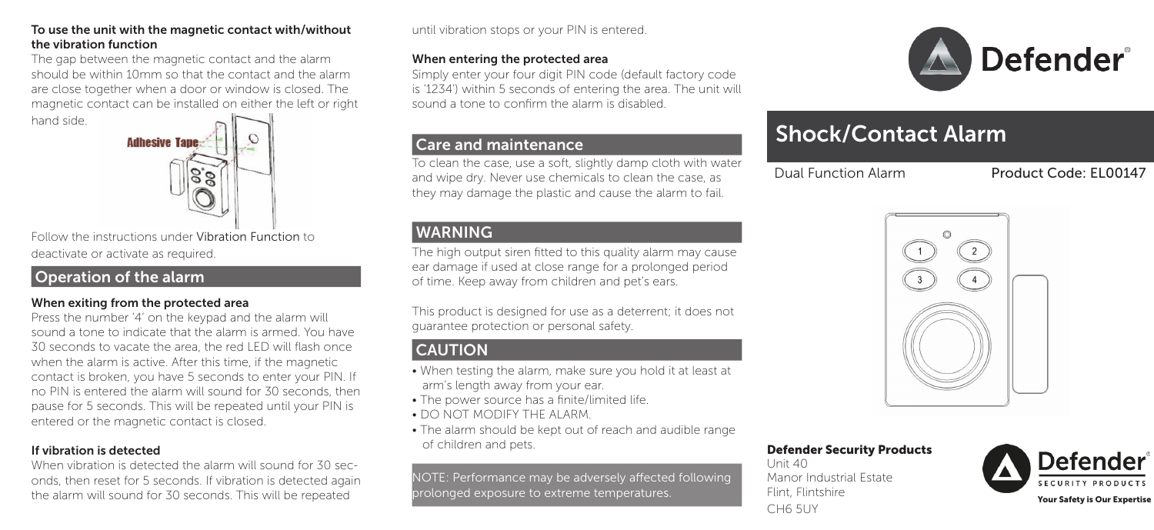#### To use the unit with the magnetic contact with/without the vibration function

The gap between the magnetic contact and the alarm should be within 10mm so that the contact and the alarm are close together when a door or window is closed. The magnetic contact can be installed on either the left or right





Follow the instructions under Vibration Function to deactivate or activate as required.

# Operation of the alarm

## When exiting from the protected area

Press the number '4' on the keypad and the alarm will sound a tone to indicate that the alarm is armed. You have 30 seconds to vacate the area, the red LED will flash once when the alarm is active. After this time, if the magnetic contact is broken, you have 5 seconds to enter your PIN. If no PIN is entered the alarm will sound for 30 seconds, then pause for 5 seconds. This will be repeated until your PIN is entered or the magnetic contact is closed.

## If vibration is detected

When vibration is detected the alarm will sound for 30 seconds, then reset for 5 seconds. If vibration is detected again the alarm will sound for 30 seconds. This will be repeated

until vibration stops or your PIN is entered.

#### When entering the protected area

Simply enter your four digit PIN code (default factory code is '1234') within 5 seconds of entering the area. The unit will sound a tone to confirm the alarm is disabled.

## Care and maintenance

To clean the case, use a soft, slightly damp cloth with water and wipe dry. Never use chemicals to clean the case, as they may damage the plastic and cause the alarm to fail.

## WARNING

The high output siren fitted to this quality alarm may cause ear damage if used at close range for a prolonged period of time. Keep away from children and pet's ears.

This product is designed for use as a deterrent; it does not guarantee protection or personal safety.

# **CAUTION**

- When testing the alarm, make sure you hold it at least at arm's length away from your ear.
- The power source has a finite/limited life.
- DO NOT MODIFY THE ALARM.
- The alarm should be kept out of reach and audible range of children and pets.

NOTE: Performance may be adversely affected following prolonged exposure to extreme temperatures.



# Shock/Contact Alarm

Dual Function Alarm Product Code: EL00147



#### Defender Security Products

Unit 40 Manor Industrial Estate Flint, Flintshire Turn, Turnsmitteller (1999)<br>CH6 5UY Your Safety is Our Expertise